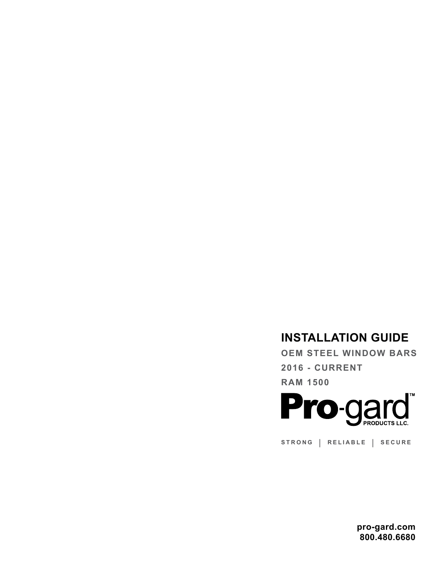# **INSTALLATION GUIDE**

**OEM STEEL WINDOW BARS 2016 - CURRENT RAM 1500**



**STRONG | RELIABLE | SECURE**

**pro-gard.com 800.480.6680**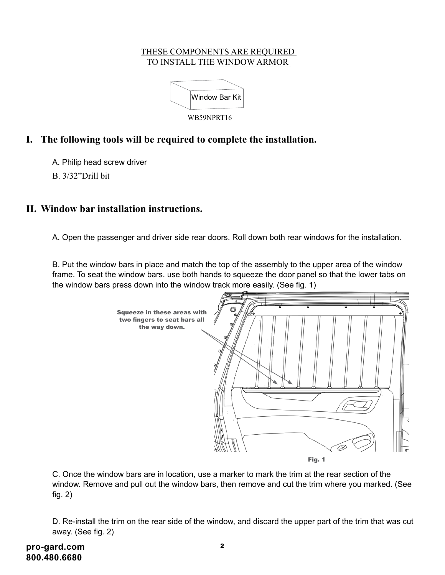#### THESE COMPONENTS ARE REQUIRED TO INSTALL THE WINDOW ARMOR



## **I. The following tools will be required to complete the installation.**

A. Philip head screw driver

B. 3/32"Drill bit

### **II. Window bar installation instructions.**

A. Open the passenger and driver side rear doors. Roll down both rear windows for the installation.

B. Put the window bars in place and match the top of the assembly to the upper area of the window frame. To seat the window bars, use both hands to squeeze the door panel so that the lower tabs on the window bars press down into the window track more easily. (See fig. 1)



C. Once the window bars are in location, use a marker to mark the trim at the rear section of the window. Remove and pull out the window bars, then remove and cut the trim where you marked. (See fig. 2)

D. Re-install the trim on the rear side of the window, and discard the upper part of the trim that was cut away. (See fig. 2)